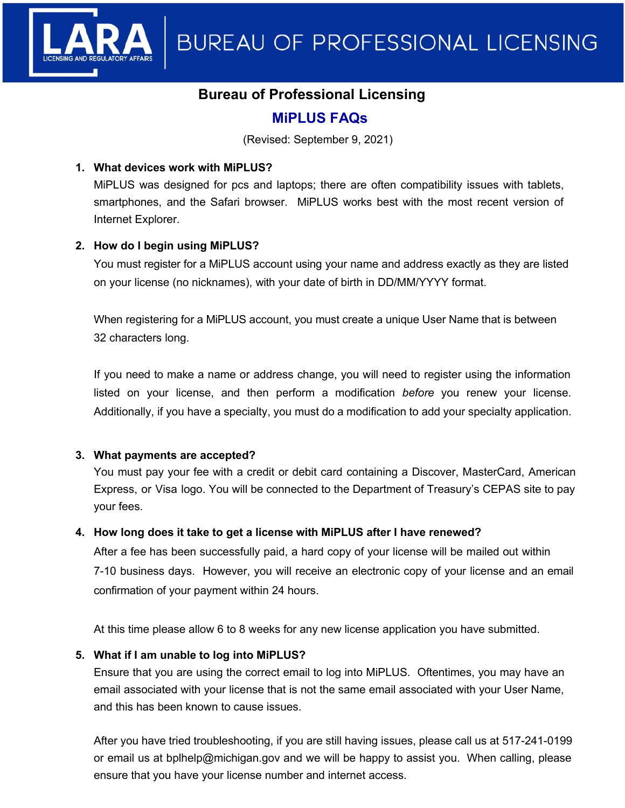

# **Bureau of Professional Licensing**

# **MiPLUS FAQs**

(Revised: September 9, 2021)

## **1. What devices work with MiPLUS?**

MiPLUS was designed for pcs and laptops; there are often compatibility issues with tablets, smartphones, and the Safari browser. MiPLUS works best with the most recent version of Internet Explorer.

# **2. How do I begin using MiPLUS?**

You must register for a MiPLUS account using your name and address exactly as they are listed on your license (no nicknames), with your date of birth in DD/MM/YYYY format.

When registering for a MiPLUS account, you must create a unique User Name that is between 32 characters long.

If you need to make a name or address change, you will need to register using the information listed on your license, and then perform a modification *before* you renew your license. Additionally, if you have a specialty, you must do a modification to add your specialty application.

#### **3. What payments are accepted?**

You must pay your fee with a credit or debit card containing a Discover, MasterCard, American Express, or Visa logo. You will be connected to the Department of Treasury's CEPAS site to pay your fees.

# **4. How long does it take to get a license with MiPLUS after I have renewed?**

After a fee has been successfully paid, a hard copy of your license will be mailed out within 7-10 business days. However, you will receive an electronic copy of your license and an email confirmation of your payment within 24 hours.

At this time please allow 6 to 8 weeks for any new license application you have submitted.

#### **5. What if I am unable to log into MiPLUS?**

Ensure that you are using the correct email to log into MiPLUS. Oftentimes, you may have an email associated with your license that is not the same email associated with your User Name, and this has been known to cause issues.

After you have tried troubleshooting, if you are still having issues, please call us at 517-241-0199 or email us at bplhelp@michigan.gov and we will be happy to assist you. When calling, please ensure that you have your license number and internet access.